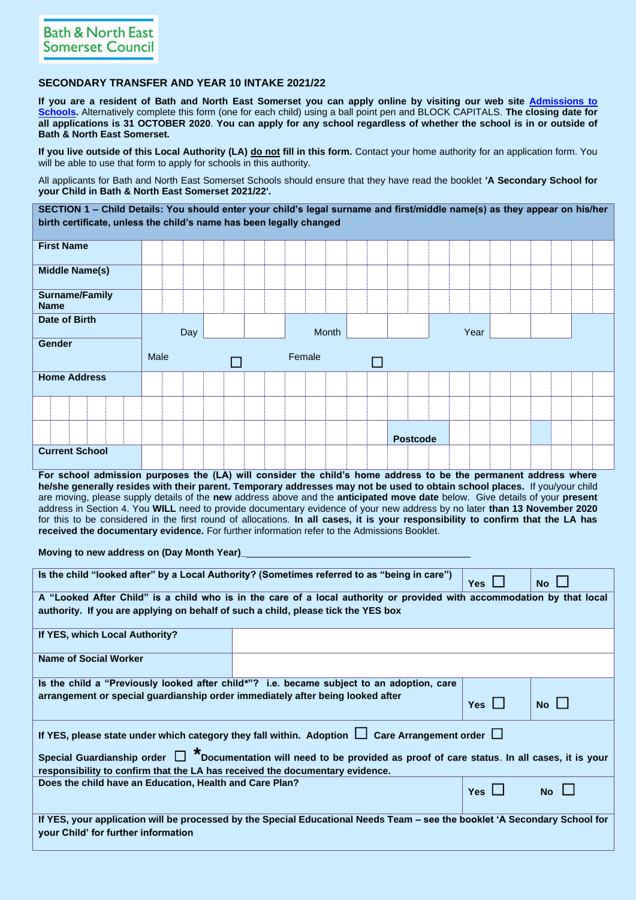## **SECONDARY TRANSFER AND YEAR 10 INTAKE 2021/22**

**If you are a resident of Bath and North East Somerset you can apply online by visiting our web site [Admissions to](https://beta.bathnes.gov.uk/school-admissions)  [Schools.](https://beta.bathnes.gov.uk/school-admissions)** Alternatively complete this form (one for each child) using a ball point pen and BLOCK CAPITALS. **The closing date for all applications is 31 OCTOBER 2020**. **You can apply for any school regardless of whether the school is in or outside of Bath & North East Somerset.**

**If you live outside of this Local Authority (LA) do not fill in this form.** Contact your home authority for an application form. You will be able to use that form to apply for schools in this authority.

All applicants for Bath and North East Somerset Schools should ensure that they have read the booklet **'A Secondary School for your Child in Bath & North East Somerset 2021/22'.** 

**SECTION 1 – Child Details: You should enter your child's legal surname and first/middle name(s) as they appear on his/her birth certificate, unless the child's name has been legally changed**

| <b>First Name</b>                    |      |     |  |  |        |       |  |        |                 |  |      |  |  |  |
|--------------------------------------|------|-----|--|--|--------|-------|--|--------|-----------------|--|------|--|--|--|
| <b>Middle Name(s)</b>                |      |     |  |  |        |       |  |        |                 |  |      |  |  |  |
| <b>Surname/Family</b><br><b>Name</b> |      |     |  |  |        |       |  |        |                 |  |      |  |  |  |
| Date of Birth                        |      | Day |  |  |        | Month |  |        |                 |  | Year |  |  |  |
| Gender                               |      |     |  |  |        |       |  |        |                 |  |      |  |  |  |
|                                      |      |     |  |  |        |       |  |        |                 |  |      |  |  |  |
|                                      | Male |     |  |  | Female |       |  | $\Box$ |                 |  |      |  |  |  |
| <b>Home Address</b>                  |      |     |  |  |        |       |  |        |                 |  |      |  |  |  |
|                                      |      |     |  |  |        |       |  |        |                 |  |      |  |  |  |
|                                      |      |     |  |  |        |       |  |        | <b>Postcode</b> |  |      |  |  |  |

**For school admission purposes the (LA) will consider the child's home address to be the permanent address where he/she generally resides with their parent. Temporary addresses may not be used to obtain school places.** If you/your child are moving, please supply details of the **new** address above and the **anticipated move date** below. Give details of your **present**  address in Section 4. You **WILL** need to provide documentary evidence of your new address by no later **than 13 November 2020** for this to be considered in the first round of allocations. **In all cases, it is your responsibility to confirm that the LA has received the documentary evidence.** For further information refer to the Admissions Booklet.

**Moving to new address on (Day Month Year)** 

| Is the child "looked after" by a Local Authority? (Sometimes referred to as "being in care") | Yes $\mathsf{\mathsf{L}}$                                                                                                   | $No$ $\Box$ |             |  |  |  |  |  |  |  |  |  |
|----------------------------------------------------------------------------------------------|-----------------------------------------------------------------------------------------------------------------------------|-------------|-------------|--|--|--|--|--|--|--|--|--|
|                                                                                              | A "Looked After Child" is a child who is in the care of a local authority or provided with accommodation by that local      |             |             |  |  |  |  |  |  |  |  |  |
| authority. If you are applying on behalf of such a child, please tick the YES box            |                                                                                                                             |             |             |  |  |  |  |  |  |  |  |  |
|                                                                                              |                                                                                                                             |             |             |  |  |  |  |  |  |  |  |  |
| If YES, which Local Authority?                                                               |                                                                                                                             |             |             |  |  |  |  |  |  |  |  |  |
|                                                                                              |                                                                                                                             |             |             |  |  |  |  |  |  |  |  |  |
| <b>Name of Social Worker</b>                                                                 |                                                                                                                             |             |             |  |  |  |  |  |  |  |  |  |
|                                                                                              |                                                                                                                             |             |             |  |  |  |  |  |  |  |  |  |
|                                                                                              | Is the child a "Previously looked after child*"? i.e. became subject to an adoption, care                                   |             |             |  |  |  |  |  |  |  |  |  |
| arrangement or special guardianship order immediately after being looked after               |                                                                                                                             |             |             |  |  |  |  |  |  |  |  |  |
|                                                                                              |                                                                                                                             | Yes $\Box$  | $No$ $\Box$ |  |  |  |  |  |  |  |  |  |
|                                                                                              |                                                                                                                             |             |             |  |  |  |  |  |  |  |  |  |
|                                                                                              | If YES, please state under which category they fall within. Adoption $\Box$ Care Arrangement order $\Box$                   |             |             |  |  |  |  |  |  |  |  |  |
|                                                                                              |                                                                                                                             |             |             |  |  |  |  |  |  |  |  |  |
|                                                                                              | Special Guardianship order $\Box$ *Documentation will need to be provided as proof of care status. In all cases, it is your |             |             |  |  |  |  |  |  |  |  |  |
|                                                                                              |                                                                                                                             |             |             |  |  |  |  |  |  |  |  |  |
| responsibility to confirm that the LA has received the documentary evidence.                 |                                                                                                                             |             |             |  |  |  |  |  |  |  |  |  |
| Does the child have an Education, Health and Care Plan?                                      |                                                                                                                             | $Yes$       | <b>No</b>   |  |  |  |  |  |  |  |  |  |
|                                                                                              |                                                                                                                             |             |             |  |  |  |  |  |  |  |  |  |
|                                                                                              |                                                                                                                             |             |             |  |  |  |  |  |  |  |  |  |
|                                                                                              | If YES, your application will be processed by the Special Educational Needs Team – see the booklet 'A Secondary School for  |             |             |  |  |  |  |  |  |  |  |  |
| your Child' for further information                                                          |                                                                                                                             |             |             |  |  |  |  |  |  |  |  |  |
|                                                                                              |                                                                                                                             |             |             |  |  |  |  |  |  |  |  |  |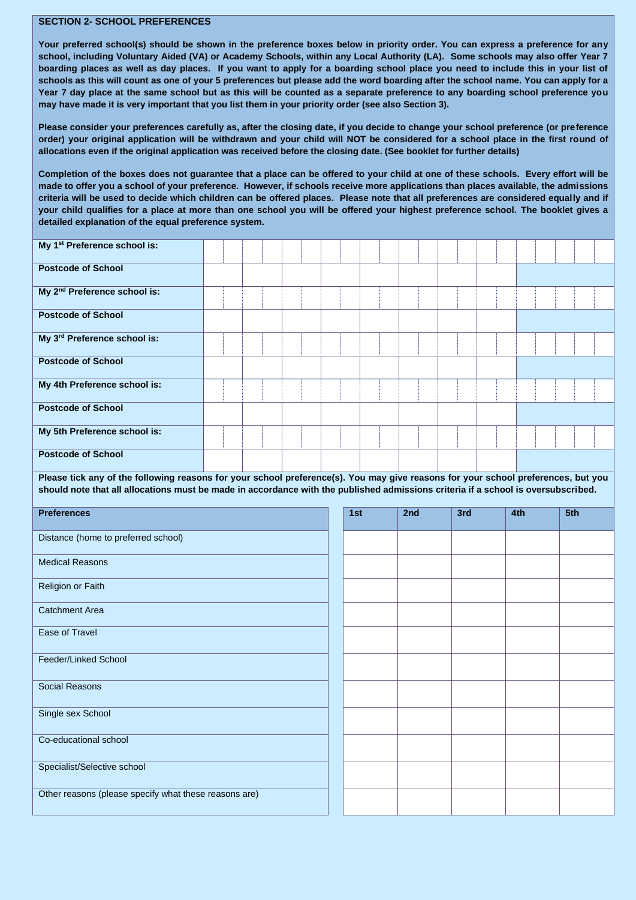## **SECTION 2- SCHOOL PREFERENCES**

**Your preferred school(s) should be shown in the preference boxes below in priority order. You can express a preference for any school, including Voluntary Aided (VA) or Academy Schools, within any Local Authority (LA). Some schools may also offer Year 7 boarding places as well as day places. If you want to apply for a boarding school place you need to include this in your list of schools as this will count as one of your 5 preferences but please add the word boarding after the school name. You can apply for a Year 7 day place at the same school but as this will be counted as a separate preference to any boarding school preference you may have made it is very important that you list them in your priority order (see also Section 3).**

**Please consider your preferences carefully as, after the closing date, if you decide to change your school preference (or preference order) your original application will be withdrawn and your child will NOT be considered for a school place in the first round of allocations even if the original application was received before the closing date. (See booklet for further details)**

**Completion of the boxes does not guarantee that a place can be offered to your child at one of these schools. Every effort will be made to offer you a school of your preference. However, if schools receive more applications than places available, the admissions criteria will be used to decide which children can be offered places. Please note that all preferences are considered equally and if your child qualifies for a place at more than one school you will be offered your highest preference school. The booklet gives a detailed explanation of the equal preference system.**

| My 1 <sup>st</sup> Preference school is:                                                                                                                                                                                                                               |  |  |     |     |     |  |     |     |  |
|------------------------------------------------------------------------------------------------------------------------------------------------------------------------------------------------------------------------------------------------------------------------|--|--|-----|-----|-----|--|-----|-----|--|
| <b>Postcode of School</b>                                                                                                                                                                                                                                              |  |  |     |     |     |  |     |     |  |
| My 2 <sup>nd</sup> Preference school is:                                                                                                                                                                                                                               |  |  |     |     |     |  |     |     |  |
| <b>Postcode of School</b>                                                                                                                                                                                                                                              |  |  |     |     |     |  |     |     |  |
| My 3rd Preference school is:                                                                                                                                                                                                                                           |  |  |     |     |     |  |     |     |  |
| <b>Postcode of School</b>                                                                                                                                                                                                                                              |  |  |     |     |     |  |     |     |  |
| My 4th Preference school is:                                                                                                                                                                                                                                           |  |  |     |     |     |  |     |     |  |
| <b>Postcode of School</b>                                                                                                                                                                                                                                              |  |  |     |     |     |  |     |     |  |
| My 5th Preference school is:                                                                                                                                                                                                                                           |  |  |     |     |     |  |     |     |  |
| <b>Postcode of School</b>                                                                                                                                                                                                                                              |  |  |     |     |     |  |     |     |  |
| Please tick any of the following reasons for your school preference(s). You may give reasons for your school preferences, but you<br>should note that all allocations must be made in accordance with the published admissions criteria if a school is oversubscribed. |  |  |     |     |     |  |     |     |  |
|                                                                                                                                                                                                                                                                        |  |  |     |     |     |  |     |     |  |
|                                                                                                                                                                                                                                                                        |  |  |     |     |     |  |     |     |  |
| <b>Preferences</b>                                                                                                                                                                                                                                                     |  |  | 1st | 2nd | 3rd |  | 4th | 5th |  |
| Distance (home to preferred school)                                                                                                                                                                                                                                    |  |  |     |     |     |  |     |     |  |
| <b>Medical Reasons</b>                                                                                                                                                                                                                                                 |  |  |     |     |     |  |     |     |  |
| Religion or Faith                                                                                                                                                                                                                                                      |  |  |     |     |     |  |     |     |  |
| <b>Catchment Area</b>                                                                                                                                                                                                                                                  |  |  |     |     |     |  |     |     |  |
| <b>Ease of Travel</b>                                                                                                                                                                                                                                                  |  |  |     |     |     |  |     |     |  |
| Feeder/Linked School                                                                                                                                                                                                                                                   |  |  |     |     |     |  |     |     |  |
| <b>Social Reasons</b>                                                                                                                                                                                                                                                  |  |  |     |     |     |  |     |     |  |
| Single sex School                                                                                                                                                                                                                                                      |  |  |     |     |     |  |     |     |  |
| Co-educational school                                                                                                                                                                                                                                                  |  |  |     |     |     |  |     |     |  |
| Specialist/Selective school                                                                                                                                                                                                                                            |  |  |     |     |     |  |     |     |  |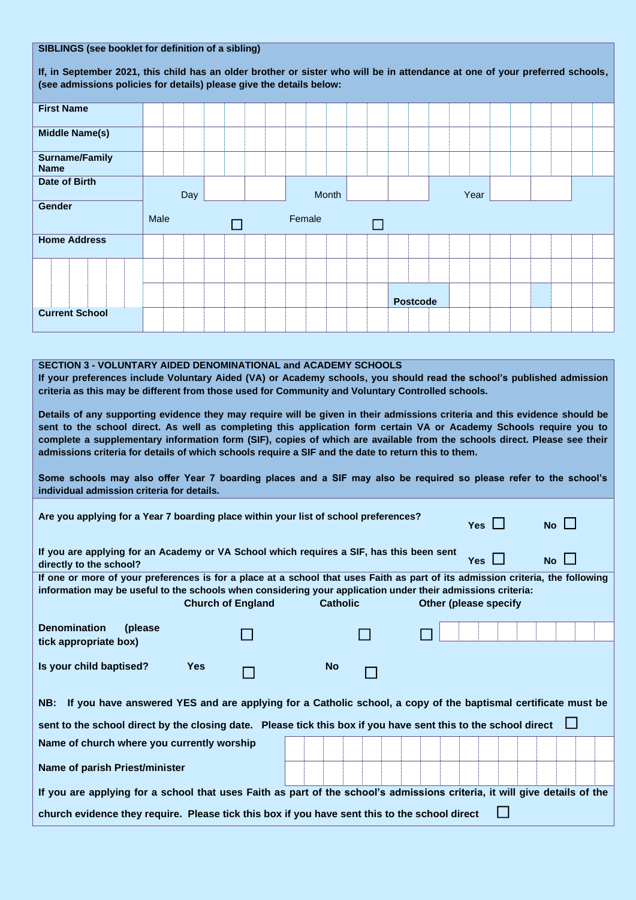| SIBLINGS (see booklet for definition of a sibling)                                                                           |      |  |     |  |  |  |  |        |  |       |  |  |  |                 |  |      |  |  |  |  |
|------------------------------------------------------------------------------------------------------------------------------|------|--|-----|--|--|--|--|--------|--|-------|--|--|--|-----------------|--|------|--|--|--|--|
| If, in September 2021, this child has an older brother or sister who will be in attendance at one of your preferred schools, |      |  |     |  |  |  |  |        |  |       |  |  |  |                 |  |      |  |  |  |  |
| (see admissions policies for details) please give the details below:                                                         |      |  |     |  |  |  |  |        |  |       |  |  |  |                 |  |      |  |  |  |  |
| <b>First Name</b>                                                                                                            |      |  |     |  |  |  |  |        |  |       |  |  |  |                 |  |      |  |  |  |  |
| <b>Middle Name(s)</b>                                                                                                        |      |  |     |  |  |  |  |        |  |       |  |  |  |                 |  |      |  |  |  |  |
| <b>Surname/Family</b><br><b>Name</b>                                                                                         |      |  |     |  |  |  |  |        |  |       |  |  |  |                 |  |      |  |  |  |  |
| Date of Birth                                                                                                                |      |  | Day |  |  |  |  |        |  | Month |  |  |  |                 |  | Year |  |  |  |  |
| Gender                                                                                                                       |      |  |     |  |  |  |  |        |  |       |  |  |  |                 |  |      |  |  |  |  |
|                                                                                                                              | Male |  |     |  |  |  |  | Female |  |       |  |  |  |                 |  |      |  |  |  |  |
| <b>Home Address</b>                                                                                                          |      |  |     |  |  |  |  |        |  |       |  |  |  |                 |  |      |  |  |  |  |
|                                                                                                                              |      |  |     |  |  |  |  |        |  |       |  |  |  |                 |  |      |  |  |  |  |
|                                                                                                                              |      |  |     |  |  |  |  |        |  |       |  |  |  | <b>Postcode</b> |  |      |  |  |  |  |
| <b>Current School</b>                                                                                                        |      |  |     |  |  |  |  |        |  |       |  |  |  |                 |  |      |  |  |  |  |
|                                                                                                                              |      |  |     |  |  |  |  |        |  |       |  |  |  |                 |  |      |  |  |  |  |
| <b>SECTION 3 - VOLUNTARY AIDED DENOMINATIONAL and ACADEMY SCHOOLS</b>                                                        |      |  |     |  |  |  |  |        |  |       |  |  |  |                 |  |      |  |  |  |  |

**If your preferences include Voluntary Aided (VA) or Academy schools, you should read the school's published admission criteria as this may be different from those used for Community and Voluntary Controlled schools.**

**Details of any supporting evidence they may require will be given in their admissions criteria and this evidence should be sent to the school direct. As well as completing this application form certain VA or Academy Schools require you to complete a supplementary information form (SIF), copies of which are available from the schools direct. Please see their admissions criteria for details of which schools require a SIF and the date to return this to them.** 

**Some schools may also offer Year 7 boarding places and a SIF may also be required so please refer to the school's individual admission criteria for details.**

| Are you applying for a Year 7 boarding place within your list of school preferences?                                                                                                                                                          | Yes $\Box$            | $No$ $\Box$ |  |  |
|-----------------------------------------------------------------------------------------------------------------------------------------------------------------------------------------------------------------------------------------------|-----------------------|-------------|--|--|
| If you are applying for an Academy or VA School which requires a SIF, has this been sent<br>directly to the school?                                                                                                                           | $Yes$ $\vert$ $\vert$ | $No \Box$   |  |  |
| If one or more of your preferences is for a place at a school that uses Faith as part of its admission criteria, the following<br>information may be useful to the schools when considering your application under their admissions criteria: | Other (please specify |             |  |  |
| <b>Denomination</b><br>(please)<br>tick appropriate box)                                                                                                                                                                                      |                       |             |  |  |
| Is your child baptised?                                                                                                                                                                                                                       | <b>Yes</b>            | <b>No</b>   |  |  |
| NB: If you have answered YES and are applying for a Catholic school, a copy of the baptismal certificate must be                                                                                                                              |                       |             |  |  |
| sent to the school direct by the closing date. Please tick this box if you have sent this to the school direct $\Box$                                                                                                                         |                       |             |  |  |
| Name of church where you currently worship                                                                                                                                                                                                    |                       |             |  |  |
| Name of parish Priest/minister                                                                                                                                                                                                                |                       |             |  |  |
| If you are applying for a school that uses Faith as part of the school's admissions criteria, it will give details of the                                                                                                                     |                       |             |  |  |
| church evidence they require. Please tick this box if you have sent this to the school direct                                                                                                                                                 |                       |             |  |  |